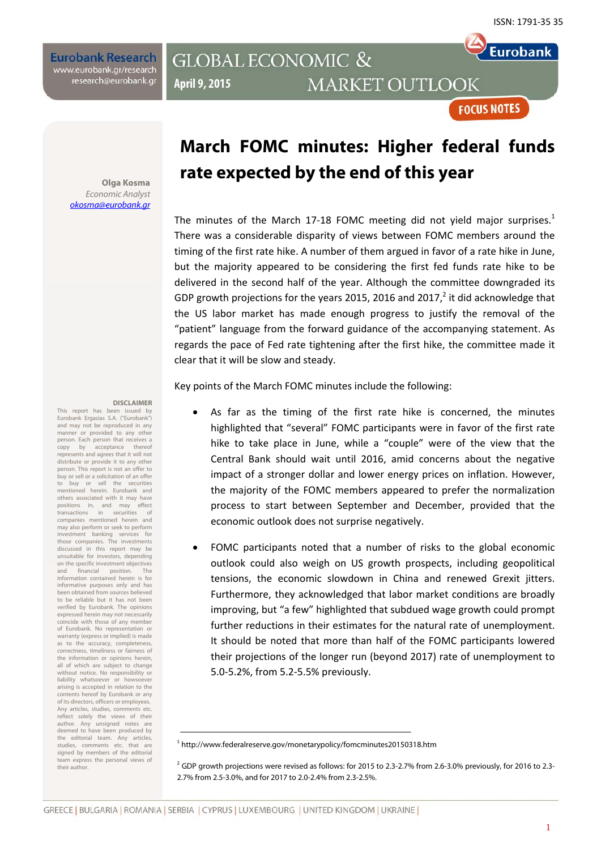**Eurobank** 

**FOCUS NOTES** 

**Eurobank Research** www.eurobank.gr/research research@eurobank.gr

## **GLOBAL ECONOMIC & MARKET OUTLOOK April 9, 2015**

#### **Olga Kosma**  Economic Analyst okosma@eurobank.gr

#### **DISCLAIMER**

This report has been issued by Eurobank Ergasias S.A. ("Eurobank") and may not be reproduced in any manner or provided to any other person. Each person that receives a<br>copy by acceptance thereof copy by acceptance represents and agrees that it will not distribute or provide it to any other person. This report is not an offer to buy or sell or a solicitation of an offer to buy or sell the securities mentioned herein. Eurobank and others associated with it may have<br>nositions in and may effect positions in, and may effect transactions in securities of companies mentioned herein and may also perform or seek to perform investment banking services for those companies. The investments discussed in this report may be unsuitable for investors, depending on the specific investment objectives and financial position. The information contained herein is for informative purposes only and has been obtained from sources believed to be reliable but it has not been verified by Eurobank. The opinions expressed herein may not necessarily coincide with those of any member of Eurobank. No representation or warranty (express or implied) is made as to the accuracy, completeness, correctness, timeliness or fairness of the information or opinions herein, all of which are subject to change without notice. No responsibility or liability whatsoever or howsoever arising is accepted in relation to the contents hereof by Eurobank or any of its directors, officers or employees. Any articles, studies, comments etc. reflect solely the views of their author. Any unsigned notes are deemed to have been produced by the editorial team. Any articles, studies, comments etc. that are signed by members of the editorial team express the personal views of their author.

# **March FOMC minutes: Higher federal funds rate expected by the end of this year**

The minutes of the March 17-18 FOMC meeting did not yield major surprises.<sup>1</sup> There was a considerable disparity of views between FOMC members around the timing of the first rate hike. A number of them argued in favor of a rate hike in June, but the majority appeared to be considering the first fed funds rate hike to be delivered in the second half of the year. Although the committee downgraded its GDP growth projections for the years 2015, 2016 and 2017, $^2$  it did acknowledge that the US labor market has made enough progress to justify the removal of the "patient" language from the forward guidance of the accompanying statement. As regards the pace of Fed rate tightening after the first hike, the committee made it clear that it will be slow and steady.

Key points of the March FOMC minutes include the following:

- As far as the timing of the first rate hike is concerned, the minutes highlighted that "several" FOMC participants were in favor of the first rate hike to take place in June, while a "couple" were of the view that the Central Bank should wait until 2016, amid concerns about the negative impact of a stronger dollar and lower energy prices on inflation. However, the majority of the FOMC members appeared to prefer the normalization process to start between September and December, provided that the economic outlook does not surprise negatively.
- FOMC participants noted that a number of risks to the global economic outlook could also weigh on US growth prospects, including geopolitical tensions, the economic slowdown in China and renewed Grexit jitters. Furthermore, they acknowledged that labor market conditions are broadly improving, but "a few" highlighted that subdued wage growth could prompt further reductions in their estimates for the natural rate of unemployment. It should be noted that more than half of the FOMC participants lowered their projections of the longer run (beyond 2017) rate of unemployment to 5.0‐5.2%, from 5.2‐5.5% previously.

<sup>&</sup>lt;sup>1</sup> http://www.federalreserve.gov/monetarypolicy/fomcminutes20150318.htm

 $2$  GDP growth projections were revised as follows: for 2015 to 2.3-2.7% from 2.6-3.0% previously, for 2016 to 2.3-2.7% from 2.5-3.0%, and for 2017 to 2.0-2.4% from 2.3-2.5%.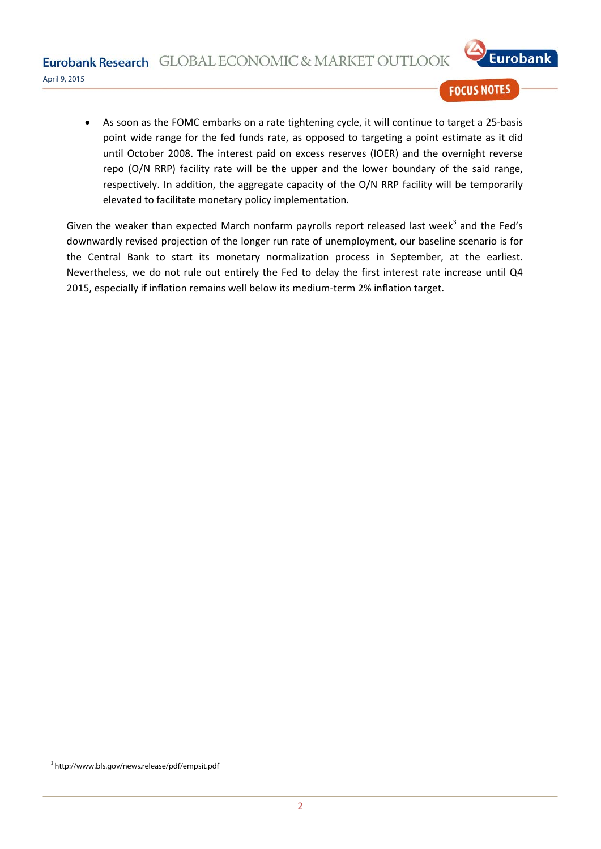Eurobank Research GLOBAL ECONOMIC & MARKET OUTLOOK



April 9, 2015

## **FOCUS NOTES**

As soon as the FOMC embarks on a rate tightening cycle, it will continue to target a 25-basis point wide range for the fed funds rate, as opposed to targeting a point estimate as it did until October 2008. The interest paid on excess reserves (IOER) and the overnight reverse repo (O/N RRP) facility rate will be the upper and the lower boundary of the said range, respectively. In addition, the aggregate capacity of the O/N RRP facility will be temporarily elevated to facilitate monetary policy implementation.

Given the weaker than expected March nonfarm payrolls report released last week $3$  and the Fed's downwardly revised projection of the longer run rate of unemployment, our baseline scenario is for the Central Bank to start its monetary normalization process in September, at the earliest. Nevertheless, we do not rule out entirely the Fed to delay the first interest rate increase until Q4 2015, especially if inflation remains well below its medium-term 2% inflation target.

<sup>3</sup> http://www.bls.gov/news.release/pdf/empsit.pdf